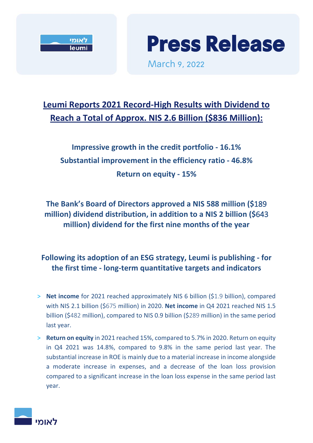



March 9, 2022

# **Leumi Reports 2021 Record-High Results with Dividend to Reach a Total of Approx. NIS 2.6 Billion (\$836 Million):**

**Impressive growth in the credit portfolio - 16.1% Substantial improvement in the efficiency ratio - 46.8% Return on equity - 15%**

**The Bank's Board of Directors approved a NIS 588 million (\$**189 **million) dividend distribution, in addition to a NIS 2 billion (\$**643 **million) dividend for the first nine months of the year**

# **Following its adoption of an ESG strategy, Leumi is publishing - for the first time - long-term quantitative targets and indicators**

- > **Net income** for 2021 reached approximately NIS 6 billion (\$1.9 billion), compared with NIS 2.1 billion (\$675 million) in 2020. **Net income** in Q4 2021 reached NIS 1.5 billion (\$482 million), compared to NIS 0.9 billion (\$289 million) in the same period last year.
- > **Return on equity** in 2021 reached 15%, compared to 5.7% in 2020. Return on equity in Q4 2021 was 14.8%, compared to 9.8% in the same period last year. The substantial increase in ROE is mainly due to a material increase in income alongside a moderate increase in expenses, and a decrease of the loan loss provision compared to a significant increase in the loan loss expense in the same period last year.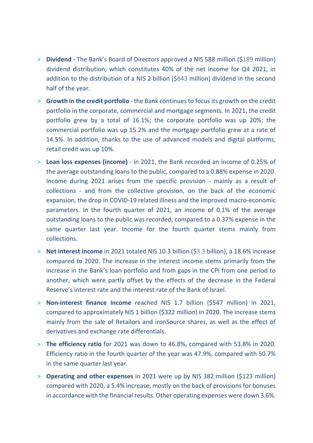- > **Dividend -** The Bank's Board of Directors approved a NIS 588 million (\$189 million) dividend distribution, which constitutes 40% of the net income for Q4 2021, in addition to the distribution of a NIS 2 billion (\$643 million) dividend in the second half of the year.
- > **Growth in the credit portfolio** the Bank continuesto focus its growth on the credit portfolio in the corporate, commercial and mortgage segments. In 2021, the credit portfolio grew by a total of 16.1%; the corporate portfolio was up 20%; the commercial portfolio was up 15.2% and the mortgage portfolio grew at a rate of 14.5%. In addition, thanks to the use of advanced models and digital platforms, retail credit was up 10%.
- > **Loan loss expenses (income)** in 2021, the Bank recorded an income of 0.25% of the average outstanding loans to the public, compared to a 0.88% expense in 2020. Income during 2021 arises from the specific provision - mainly as a result of collections - and from the collective provision, on the back of the economic expansion, the drop in COVID-19 related illness and the improved macro-economic parameters. In the fourth quarter of 2021, an income of 0.1% of the average outstanding loans to the public was recorded, compared to a 0.37% expense in the same quarter last year. Income for the fourth quarter stems mainly from collections.
- > **Net interest income** in 2021 totaled NIS 10.3 billion (\$3.3 billion), a 18.6% increase compared to 2020. The increase in the interest income stems primarily from the increase in the Bank's loan portfolio and from gaps in the CPI from one period to another, which were partly offset by the effects of the decrease in the Federal Reserve's interest rate and the interest rate of the Bank of Israel.
- > **Non-interest finance income** reached NIS 1.7 billion (\$547 million) in 2021, compared to approximately NIS 1 billion (\$322 million) in 2020. The increase stems mainly from the sale of Retailors and ironSource shares, as well as the effect of derivatives and exchange rate differentials.
- > **The efficiency ratio** for 2021 was down to 46.8%, compared with 53.8% in 2020. Efficiency ratio in the fourth quarter of the year was 47.9%, compared with 50.7% in the same quarter last year.
- > **Operating and other expenses** in 2021 were up by NIS 382 million (\$123 million) compared with 2020, a 5.4% increase, mostly on the back of provisions for bonuses in accordance with the financial results. Other operating expenses were down 3.6%.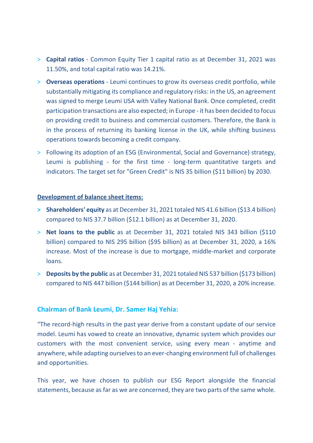- > **Capital ratios** Common Equity Tier 1 capital ratio as at December 31, 2021 was 11.50%, and total capital ratio was 14.21%.
- > **Overseas operations** Leumi continues to grow its overseas credit portfolio, while substantially mitigating its compliance and regulatory risks: in the US, an agreement was signed to merge Leumi USA with Valley National Bank. Once completed, credit participation transactions are also expected; in Europe - it has been decided to focus on providing credit to business and commercial customers. Therefore, the Bank is in the process of returning its banking license in the UK, while shifting business operations towards becoming a credit company.
- > Following its adoption of an ESG (Environmental, Social and Governance) strategy, Leumi is publishing - for the first time - long-term quantitative targets and indicators. The target set for "Green Credit" is NIS 35 billion (\$11 billion) by 2030.

#### **Development of balance sheet items:**

- **> Shareholders' equity** as at December 31, 2021 totaled NIS 41.6 billion (\$13.4 billion) compared to NIS 37.7 billion (\$12.1 billion) as at December 31, 2020.
- > **Net loans to the public** as at December 31, 2021 totaled NIS 343 billion (\$110 billion) compared to NIS 295 billion (\$95 billion) as at December 31, 2020, a 16% increase. Most of the increase is due to mortgage, middle-market and corporate loans.
- > **Deposits by the public** as at December 31, 2021 totaled NIS 537 billion (\$173 billion) compared to NIS 447 billion (\$144 billion) as at December 31, 2020, a 20% increase.

#### **Chairman of Bank Leumi, Dr. Samer Haj Yehia:**

"The record-high results in the past year derive from a constant update of our service model. Leumi has vowed to create an innovative, dynamic system which provides our customers with the most convenient service, using every mean - anytime and anywhere, while adapting ourselves to an ever-changing environment full of challenges and opportunities.

This year, we have chosen to publish our ESG Report alongside the financial statements, because as far as we are concerned, they are two parts of the same whole.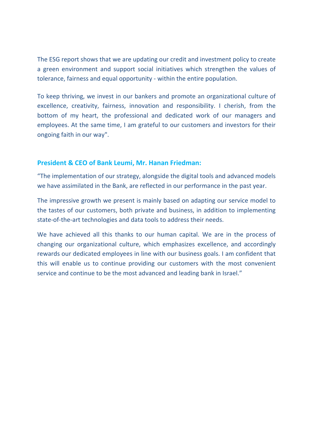The ESG report shows that we are updating our credit and investment policy to create a green environment and support social initiatives which strengthen the values of tolerance, fairness and equal opportunity - within the entire population.

To keep thriving, we invest in our bankers and promote an organizational culture of excellence, creativity, fairness, innovation and responsibility. I cherish, from the bottom of my heart, the professional and dedicated work of our managers and employees. At the same time, I am grateful to our customers and investors for their ongoing faith in our way".

#### **President & CEO of Bank Leumi, Mr. Hanan Friedman:**

"The implementation of our strategy, alongside the digital tools and advanced models we have assimilated in the Bank, are reflected in our performance in the past year.

The impressive growth we present is mainly based on adapting our service model to the tastes of our customers, both private and business, in addition to implementing state-of-the-art technologies and data tools to address their needs.

We have achieved all this thanks to our human capital. We are in the process of changing our organizational culture, which emphasizes excellence, and accordingly rewards our dedicated employees in line with our business goals. I am confident that this will enable us to continue providing our customers with the most convenient service and continue to be the most advanced and leading bank in Israel."